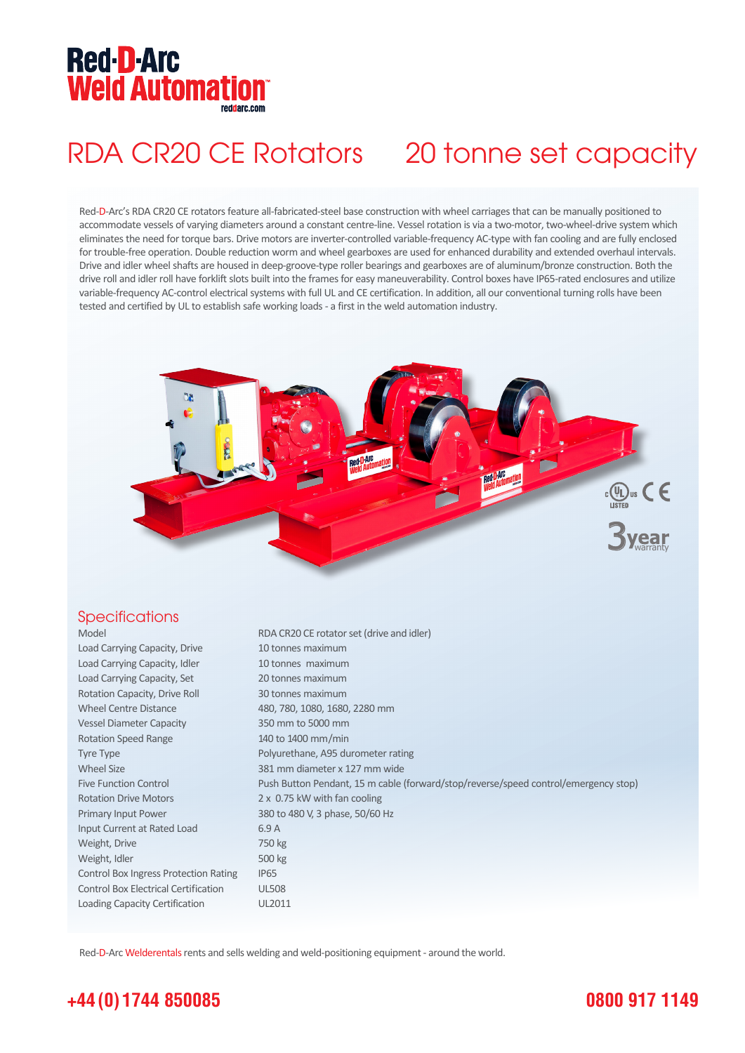## **Red-D-Arc Weld Automation®**

## RDA CR20 CE Rotators 20 tonne set capacity

Red-D-Arc's RDA CR20 CE rotators feature all-fabricated-steel base construction with wheel carriages that can be manually positioned to accommodate vessels of varying diameters around a constant centre-line. Vessel rotation is via a two-motor, two-wheel-drive system which eliminates the need for torque bars. Drive motors are inverter-controlled variable-frequency AC-type with fan cooling and are fully enclosed for trouble-free operation. Double reduction worm and wheel gearboxes are used for enhanced durability and extended overhaul intervals. Drive and idler wheel shafts are housed in deep-groove-type roller bearings and gearboxes are of aluminum/bronze construction. Both the drive roll and idler roll have forklift slots built into the frames for easy maneuverability. Control boxes have IP65-rated enclosures and utilize variable-frequency AC-control electrical systems with full UL and CE certification. In addition, all our conventional turning rolls have been tested and certified by UL to establish safe working loads - a first in the weld automation industry.



### **Specifications**

| Model                                        | RDA CR20 CE rotator set (drive and idler)                                           |
|----------------------------------------------|-------------------------------------------------------------------------------------|
| Load Carrying Capacity, Drive                | 10 tonnes maximum                                                                   |
| Load Carrying Capacity, Idler                | 10 tonnes maximum                                                                   |
| Load Carrying Capacity, Set                  | 20 tonnes maximum                                                                   |
| Rotation Capacity, Drive Roll                | 30 tonnes maximum                                                                   |
| <b>Wheel Centre Distance</b>                 | 480, 780, 1080, 1680, 2280 mm                                                       |
| <b>Vessel Diameter Capacity</b>              | 350 mm to 5000 mm                                                                   |
| <b>Rotation Speed Range</b>                  | 140 to 1400 mm/min                                                                  |
| <b>Tyre Type</b>                             | Polyurethane, A95 durometer rating                                                  |
| <b>Wheel Size</b>                            | 381 mm diameter x 127 mm wide                                                       |
| <b>Five Function Control</b>                 | Push Button Pendant, 15 m cable (forward/stop/reverse/speed control/emergency stop) |
| <b>Rotation Drive Motors</b>                 | 2 x 0.75 kW with fan cooling                                                        |
| Primary Input Power                          | 380 to 480 V, 3 phase, 50/60 Hz                                                     |
| Input Current at Rated Load                  | 6.9A                                                                                |
| Weight, Drive                                | 750 kg                                                                              |
| Weight, Idler                                | 500 kg                                                                              |
| <b>Control Box Ingress Protection Rating</b> | <b>IP65</b>                                                                         |
| <b>Control Box Electrical Certification</b>  | <b>UL508</b>                                                                        |
| Loading Capacity Certification               | UL2011                                                                              |

Red-D-Arc Welderentals rents and sells welding and weld-positioning equipment - around the world.

## **+44 (0) 1744 850085**

### **0800 917 1149**